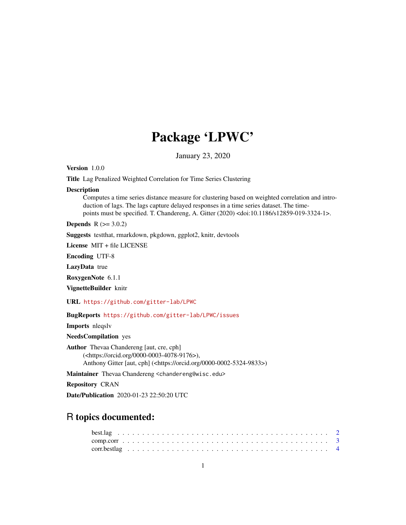## Package 'LPWC'

January 23, 2020

Version 1.0.0

Title Lag Penalized Weighted Correlation for Time Series Clustering

#### Description

Computes a time series distance measure for clustering based on weighted correlation and introduction of lags. The lags capture delayed responses in a time series dataset. The timepoints must be specified. T. Chandereng, A. Gitter (2020) <doi:10.1186/s12859-019-3324-1>.

**Depends**  $R$  ( $> = 3.0.2$ )

Suggests testthat, rmarkdown, pkgdown, ggplot2, knitr, devtools

License MIT + file LICENSE

Encoding UTF-8

LazyData true

RoxygenNote 6.1.1

VignetteBuilder knitr

URL <https://github.com/gitter-lab/LPWC>

BugReports <https://github.com/gitter-lab/LPWC/issues>

Imports nleqslv

NeedsCompilation yes

Author Thevaa Chandereng [aut, cre, cph] (<https://orcid.org/0000-0003-4078-9176>), Anthony Gitter [aut, cph] (<https://orcid.org/0000-0002-5324-9833>)

Maintainer Thevaa Chandereng <chandereng@wisc.edu>

Repository CRAN

Date/Publication 2020-01-23 22:50:20 UTC

### R topics documented: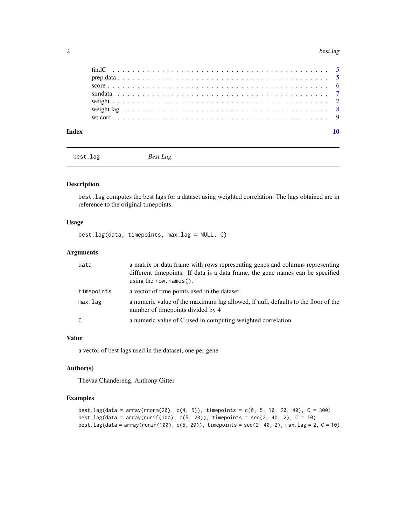#### <span id="page-1-0"></span>2 best.lag

| Index |  |  |  |  |  |  |  |  |  |  |  |  |  |  |  |  |  |  |  |  |  |
|-------|--|--|--|--|--|--|--|--|--|--|--|--|--|--|--|--|--|--|--|--|--|
|       |  |  |  |  |  |  |  |  |  |  |  |  |  |  |  |  |  |  |  |  |  |
|       |  |  |  |  |  |  |  |  |  |  |  |  |  |  |  |  |  |  |  |  |  |
|       |  |  |  |  |  |  |  |  |  |  |  |  |  |  |  |  |  |  |  |  |  |
|       |  |  |  |  |  |  |  |  |  |  |  |  |  |  |  |  |  |  |  |  |  |
|       |  |  |  |  |  |  |  |  |  |  |  |  |  |  |  |  |  |  |  |  |  |
|       |  |  |  |  |  |  |  |  |  |  |  |  |  |  |  |  |  |  |  |  |  |
|       |  |  |  |  |  |  |  |  |  |  |  |  |  |  |  |  |  |  |  |  |  |

best.lag *Best Lag*

#### Description

best.lag computes the best lags for a dataset using weighted correlation. The lags obtained are in reference to the original timepoints.

#### Usage

best.lag(data, timepoints, max.lag = NULL, C)

#### Arguments

| data         | a matrix or data frame with rows representing genes and columns representing<br>different timepoints. If data is a data frame, the gene names can be specified<br>using the row. $names()$ . |
|--------------|----------------------------------------------------------------------------------------------------------------------------------------------------------------------------------------------|
| timepoints   | a vector of time points used in the dataset                                                                                                                                                  |
| max.lag      | a numeric value of the maximum lag allowed, if null, defaults to the floor of the<br>number of timepoints divided by 4                                                                       |
| $\mathsf{C}$ | a numeric value of C used in computing weighted correlation                                                                                                                                  |

#### Value

a vector of best lags used in the dataset, one per gene

#### Author(s)

Thevaa Chandereng, Anthony Gitter

```
best.lag(data = array(rnorm(20), c(4, 5)), timepoints = c(0, 5, 10, 20, 40), C = 300)
best.lag(data = array(runif(100), c(5, 20)), timepoints = seq(2, 40, 2), C = 10)
best.lag(data = array(runif(100), c(5, 20)), timepoints = seq(2, 40, 2), max.lag = 2, C = 10)
```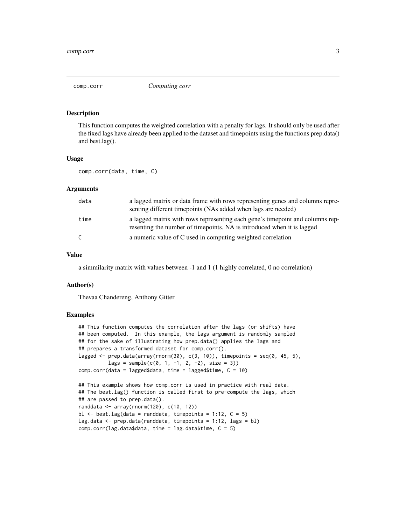<span id="page-2-0"></span>

#### Description

This function computes the weighted correlation with a penalty for lags. It should only be used after the fixed lags have already been applied to the dataset and timepoints using the functions prep.data() and best.lag().

#### Usage

comp.corr(data, time, C)

#### Arguments

| data | a lagged matrix or data frame with rows representing genes and columns repre-<br>senting different timepoints (NAs added when lags are needed)           |
|------|----------------------------------------------------------------------------------------------------------------------------------------------------------|
| time | a lagged matrix with rows representing each gene's time point and columns rep-<br>resenting the number of timepoints, NA is introduced when it is lagged |
| C    | a numeric value of C used in computing weighted correlation                                                                                              |

#### Value

a simmilarity matrix with values between -1 and 1 (1 highly correlated, 0 no correlation)

#### Author(s)

Thevaa Chandereng, Anthony Gitter

```
## This function computes the correlation after the lags (or shifts) have
## been computed. In this example, the lags argument is randomly sampled
## for the sake of illustrating how prep.data() applies the lags and
## prepares a transformed dataset for comp.corr().
lagged \leq prep.data(array(rnorm(30), c(3, 10)), timepoints = seq(0, 45, 5),
         lags = sample(c(0, 1, -1, 2, -2), size = 3))comp.corr(data = lagged$data, time = lagged$time, C = 10)
## This example shows how comp.corr is used in practice with real data.
## The best.lag() function is called first to pre-compute the lags, which
## are passed to prep.data().
```

```
randdata <- array(rnorm(120), c(10, 12))
bl \le best.lag(data = randdata, timepoints = 1:12, C = 5)
lag.data \leq prep.data(randdata, timepoints = 1:12, lags = bl)
comp.corr(lag.data$data, time = lag.data$time, <math>C = 5</math>)
```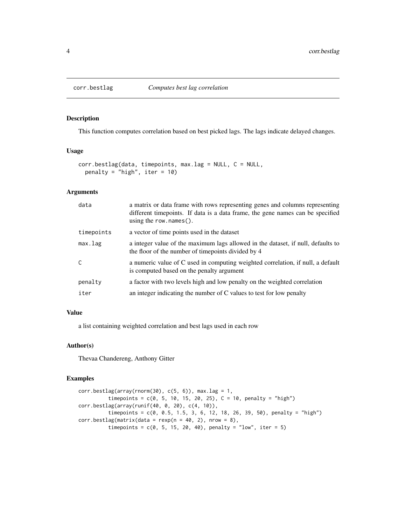<span id="page-3-0"></span>

#### Description

This function computes correlation based on best picked lags. The lags indicate delayed changes.

#### Usage

```
corr.bestlag(data, timepoints, max.lag = NULL, C = NULL,
 penalty = "high", iter = 10)
```
#### Arguments

| data       | a matrix or data frame with rows representing genes and columns representing<br>different time points. If data is a data frame, the gene names can be specified<br>using the row. $names()$ . |
|------------|-----------------------------------------------------------------------------------------------------------------------------------------------------------------------------------------------|
| timepoints | a vector of time points used in the dataset                                                                                                                                                   |
| max.lag    | a integer value of the maximum lags allowed in the dataset, if null, defaults to<br>the floor of the number of timepoints divided by 4                                                        |
| C          | a numeric value of C used in computing weighted correlation, if null, a default<br>is computed based on the penalty argument                                                                  |
| penalty    | a factor with two levels high and low penalty on the weighted correlation                                                                                                                     |
| iter       | an integer indicating the number of C values to test for low penalty                                                                                                                          |

#### Value

a list containing weighted correlation and best lags used in each row

#### Author(s)

Thevaa Chandereng, Anthony Gitter

```
corr. bestlag(array(rnorm(30), c(5, 6)), max. lag = 1,timepoints = c(0, 5, 10, 15, 20, 25), C = 10, penalty = "high")
corr.bestlag(array(runif(40, 0, 20), c(4, 10)),
          timepoints = c(0, 0.5, 1.5, 3, 6, 12, 18, 26, 39, 50), penalty = "high")
corr.bestlag(matrix(data = resp(n = 40, 2), nrow = 8),timepoints = c(0, 5, 15, 20, 40), penalty = "low", iter = 5)
```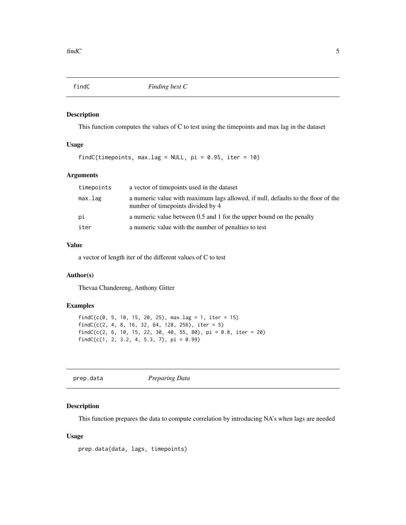<span id="page-4-0"></span>

#### Description

This function computes the values of C to test using the timepoints and max lag in the dataset

#### Usage

findC(timepoints, max.lag = NULL,  $pi = 0.95$ , iter = 10)

#### Arguments

| timepoints | a vector of timepoints used in the dataset                                                                            |
|------------|-----------------------------------------------------------------------------------------------------------------------|
| max.lag    | a numeric value with maximum lags allowed, if null, defaults to the floor of the<br>number of timepoints divided by 4 |
| рi         | a numeric value between 0.5 and 1 for the upper bound on the penalty                                                  |
| iter       | a numeric value with the number of penalties to test                                                                  |

#### Value

a vector of length iter of the different values of C to test

#### Author(s)

Thevaa Chandereng, Anthony Gitter

#### Examples

```
findC(c(0, 5, 10, 15, 20, 25), max.lag = 1, iter = 15)
findC(c(2, 4, 8, 16, 32, 64, 128, 256), iter = 5)findC(c(2, 6, 10, 15, 22, 30, 40, 55, 80), pi = 0.8, iter = 20)findC(c(1, 2, 3.2, 4, 5.3, 7), pi = 0.99)
```
prep.data *Preparing Data*

#### Description

This function prepares the data to compute correlation by introducing NA's when lags are needed

#### Usage

prep.data(data, lags, timepoints)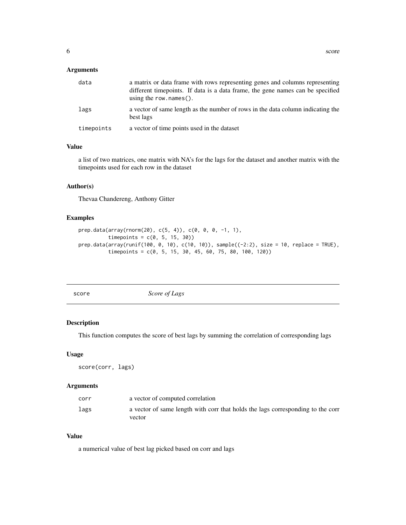#### <span id="page-5-0"></span>Arguments

| data       | a matrix or data frame with rows representing genes and columns representing<br>different timepoints. If data is a data frame, the gene names can be specified<br>using the row. $names()$ . |
|------------|----------------------------------------------------------------------------------------------------------------------------------------------------------------------------------------------|
| lags       | a vector of same length as the number of rows in the data column indicating the<br>best lags                                                                                                 |
| timepoints | a vector of time points used in the dataset                                                                                                                                                  |

#### Value

a list of two matrices, one matrix with NA's for the lags for the dataset and another matrix with the timepoints used for each row in the dataset

#### Author(s)

Thevaa Chandereng, Anthony Gitter

#### Examples

```
prep.data(array(rnorm(20), c(5, 4)), c(0, 0, 0, -1, 1),
          timepoints = c(0, 5, 15, 30)prep.data(array(runif(100, 0, 10), c(10, 10)), sample((-2:2), size = 10, replace = TRUE),
          timepoints = c(0, 5, 15, 30, 45, 60, 75, 80, 100, 120))
```
score *Score of Lags*

#### Description

This function computes the score of best lags by summing the correlation of corresponding lags

#### Usage

score(corr, lags)

#### Arguments

| corr | a vector of computed correlation                                                |
|------|---------------------------------------------------------------------------------|
| lags | a vector of same length with corr that holds the lags corresponding to the corr |
|      | vector                                                                          |

#### Value

a numerical value of best lag picked based on corr and lags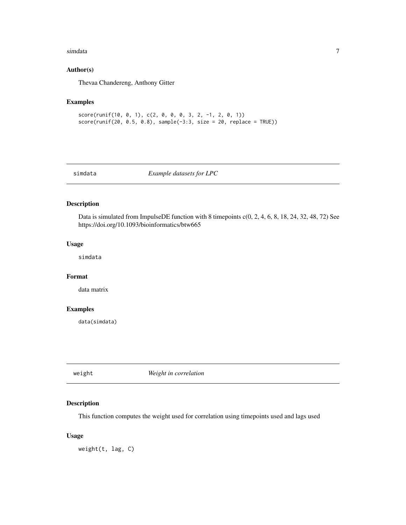#### <span id="page-6-0"></span>simdata **7**

#### Author(s)

Thevaa Chandereng, Anthony Gitter

#### Examples

```
score(runif(10, 0, 1), c(2, 0, 0, 0, 3, 2, -1, 2, 0, 1))
score(runif(20, 0.5, 0.8), sample(-3.3, size = 20, replace = TRUE))
```
simdata *Example datasets for LPC*

#### Description

Data is simulated from ImpulseDE function with 8 timepoints  $c(0, 2, 4, 6, 8, 18, 24, 32, 48, 72)$  See https://doi.org/10.1093/bioinformatics/btw665

#### Usage

simdata

#### Format

data matrix

#### Examples

data(simdata)

weight *Weight in correlation*

#### Description

This function computes the weight used for correlation using timepoints used and lags used

#### Usage

weight(t, lag, C)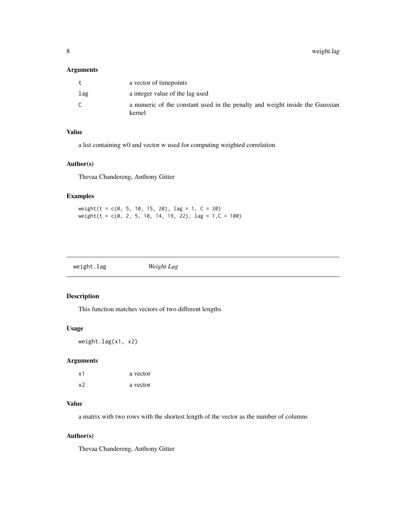<span id="page-7-0"></span>8 weight.lag

#### Arguments

|     | a vector of timepoints                                                                 |
|-----|----------------------------------------------------------------------------------------|
| lag | a integer value of the lag used                                                        |
|     | a numeric of the constant used in the penalty and weight inside the Gaussian<br>kernel |

#### Value

a list containing w0 and vector w used for computing weighted correlation

#### Author(s)

Thevaa Chandereng, Anthony Gitter

#### Examples

weight(t =  $c(0, 5, 10, 15, 20)$ , lag = 1, C = 20) weight(t =  $c(0, 2, 5, 10, 14, 19, 22)$ , lag =  $1, C = 100$ )

|--|

#### Description

This function matches vectors of two different lengths

#### Usage

weight.lag(x1, x2)

#### Arguments

| x1 | a vector |
|----|----------|
| x2 | a vector |

#### Value

a matrix with two rows with the shortest length of the vector as the number of columns

#### Author(s)

Thevaa Chandereng, Anthony Gitter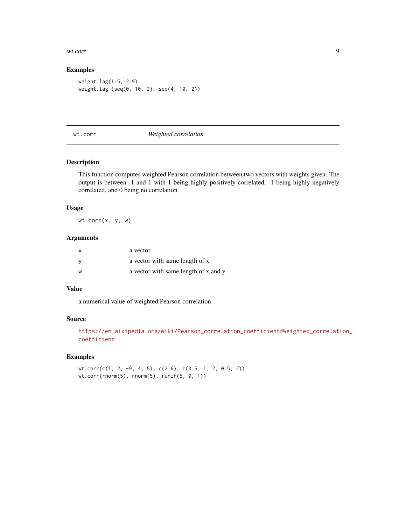#### <span id="page-8-0"></span>wt.corr 9

#### Examples

weight.lag(1:5, 2:9) weight.lag (seq(0, 10, 2), seq(4, 10, 2))

#### wt.corr *Weighted correlation*

#### Description

This function computes weighted Pearson correlation between two vectors with weights given. The output is between -1 and 1 with 1 being highly positively correlated, -1 being highly negatively correlated, and 0 being no correlation

#### Usage

wt.corr(x, y, w)

#### Arguments

| $\mathsf{x}$ | a vector                             |
|--------------|--------------------------------------|
| - V          | a vector with same length of x       |
| W            | a vector with same length of x and y |

#### Value

a numerical value of weighted Pearson correlation

#### Source

```
https://en.wikipedia.org/wiki/Pearson_correlation_coefficient#Weighted_correlation_
coefficient
```

```
wt.corr(c(1, 2, -9, 4, 5), c(2:6), c(0.5, 1, 2, 0.5, 2))
wt.corr(rnorm(5), rnorm(5), runif(5, 0, 1))
```